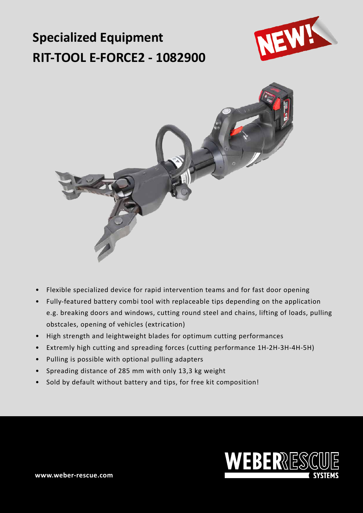# **Specialized Equipment RIT-TOOL E-FORCE2 - 1082900**





- Flexible specialized device for rapid intervention teams and for fast door opening
- Fully-featured battery combi tool with replaceable tips depending on the application e.g. breaking doors and windows, cutting round steel and chains, lifting of loads, pulling obstcales, opening of vehicles (extrication)
- High strength and leightweight blades for optimum cutting performances
- Extremly high cutting and spreading forces (cutting performance 1H-2H-3H-4H-5H)
- Pulling is possible with optional pulling adapters
- Spreading distance of 285 mm with only 13,3 kg weight
- Sold by default without battery and tips, for free kit composition!